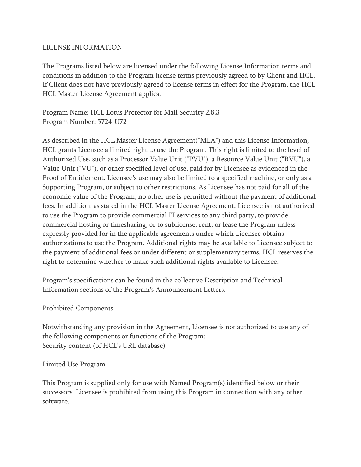## LICENSE INFORMATION

The Programs listed below are licensed under the following License Information terms and conditions in addition to the Program license terms previously agreed to by Client and HCL. If Client does not have previously agreed to license terms in effect for the Program, the HCL HCL Master License Agreement applies.

Program Name: HCL Lotus Protector for Mail Security 2.8.3 Program Number: 5724-U72

As described in the HCL Master License Agreement("MLA") and this License Information, HCL grants Licensee a limited right to use the Program. This right is limited to the level of Authorized Use, such as a Processor Value Unit ("PVU"), a Resource Value Unit ("RVU"), a Value Unit ("VU"), or other specified level of use, paid for by Licensee as evidenced in the Proof of Entitlement. Licensee's use may also be limited to a specified machine, or only as a Supporting Program, or subject to other restrictions. As Licensee has not paid for all of the economic value of the Program, no other use is permitted without the payment of additional fees. In addition, as stated in the HCL Master License Agreement, Licensee is not authorized to use the Program to provide commercial IT services to any third party, to provide commercial hosting or timesharing, or to sublicense, rent, or lease the Program unless expressly provided for in the applicable agreements under which Licensee obtains authorizations to use the Program. Additional rights may be available to Licensee subject to the payment of additional fees or under different or supplementary terms. HCL reserves the right to determine whether to make such additional rights available to Licensee.

Program's specifications can be found in the collective Description and Technical Information sections of the Program's Announcement Letters.

# Prohibited Components

Notwithstanding any provision in the Agreement, Licensee is not authorized to use any of the following components or functions of the Program: Security content (of HCL's URL database)

## Limited Use Program

This Program is supplied only for use with Named Program(s) identified below or their successors. Licensee is prohibited from using this Program in connection with any other software.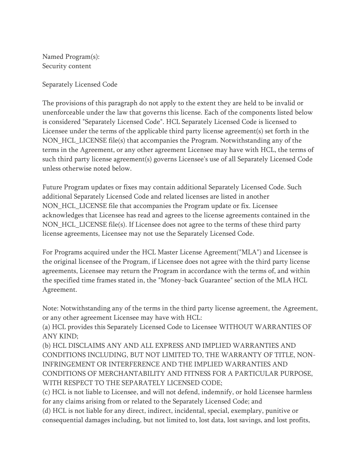Named Program(s): Security content

Separately Licensed Code

The provisions of this paragraph do not apply to the extent they are held to be invalid or unenforceable under the law that governs this license. Each of the components listed below is considered "Separately Licensed Code". HCL Separately Licensed Code is licensed to Licensee under the terms of the applicable third party license agreement(s) set forth in the NON\_HCL\_LICENSE file(s) that accompanies the Program. Notwithstanding any of the terms in the Agreement, or any other agreement Licensee may have with HCL, the terms of such third party license agreement(s) governs Licensee's use of all Separately Licensed Code unless otherwise noted below.

Future Program updates or fixes may contain additional Separately Licensed Code. Such additional Separately Licensed Code and related licenses are listed in another NON HCL LICENSE file that accompanies the Program update or fix. Licensee acknowledges that Licensee has read and agrees to the license agreements contained in the NON HCL LICENSE file(s). If Licensee does not agree to the terms of these third party license agreements, Licensee may not use the Separately Licensed Code.

For Programs acquired under the HCL Master License Agreement("MLA") and Licensee is the original licensee of the Program, if Licensee does not agree with the third party license agreements, Licensee may return the Program in accordance with the terms of, and within the specified time frames stated in, the "Money-back Guarantee" section of the MLA HCL Agreement.

Note: Notwithstanding any of the terms in the third party license agreement, the Agreement, or any other agreement Licensee may have with HCL:

(a) HCL provides this Separately Licensed Code to Licensee WITHOUT WARRANTIES OF ANY KIND;

(b) HCL DISCLAIMS ANY AND ALL EXPRESS AND IMPLIED WARRANTIES AND CONDITIONS INCLUDING, BUT NOT LIMITED TO, THE WARRANTY OF TITLE, NON-INFRINGEMENT OR INTERFERENCE AND THE IMPLIED WARRANTIES AND CONDITIONS OF MERCHANTABILITY AND FITNESS FOR A PARTICULAR PURPOSE, WITH RESPECT TO THE SEPARATELY LICENSED CODE;

(c) HCL is not liable to Licensee, and will not defend, indemnify, or hold Licensee harmless for any claims arising from or related to the Separately Licensed Code; and

(d) HCL is not liable for any direct, indirect, incidental, special, exemplary, punitive or consequential damages including, but not limited to, lost data, lost savings, and lost profits,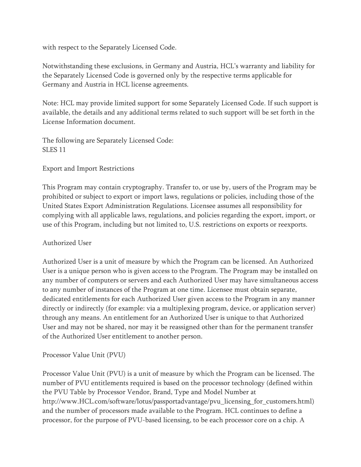with respect to the Separately Licensed Code.

Notwithstanding these exclusions, in Germany and Austria, HCL's warranty and liability for the Separately Licensed Code is governed only by the respective terms applicable for Germany and Austria in HCL license agreements.

Note: HCL may provide limited support for some Separately Licensed Code. If such support is available, the details and any additional terms related to such support will be set forth in the License Information document.

The following are Separately Licensed Code: SLES 11

Export and Import Restrictions

This Program may contain cryptography. Transfer to, or use by, users of the Program may be prohibited or subject to export or import laws, regulations or policies, including those of the United States Export Administration Regulations. Licensee assumes all responsibility for complying with all applicable laws, regulations, and policies regarding the export, import, or use of this Program, including but not limited to, U.S. restrictions on exports or reexports.

# Authorized User

Authorized User is a unit of measure by which the Program can be licensed. An Authorized User is a unique person who is given access to the Program. The Program may be installed on any number of computers or servers and each Authorized User may have simultaneous access to any number of instances of the Program at one time. Licensee must obtain separate, dedicated entitlements for each Authorized User given access to the Program in any manner directly or indirectly (for example: via a multiplexing program, device, or application server) through any means. An entitlement for an Authorized User is unique to that Authorized User and may not be shared, nor may it be reassigned other than for the permanent transfer of the Authorized User entitlement to another person.

# Processor Value Unit (PVU)

Processor Value Unit (PVU) is a unit of measure by which the Program can be licensed. The number of PVU entitlements required is based on the processor technology (defined within the PVU Table by Processor Vendor, Brand, Type and Model Number at http://www.HCL.com/software/lotus/passportadvantage/pvu\_licensing\_for\_customers.html) and the number of processors made available to the Program. HCL continues to define a processor, for the purpose of PVU-based licensing, to be each processor core on a chip. A